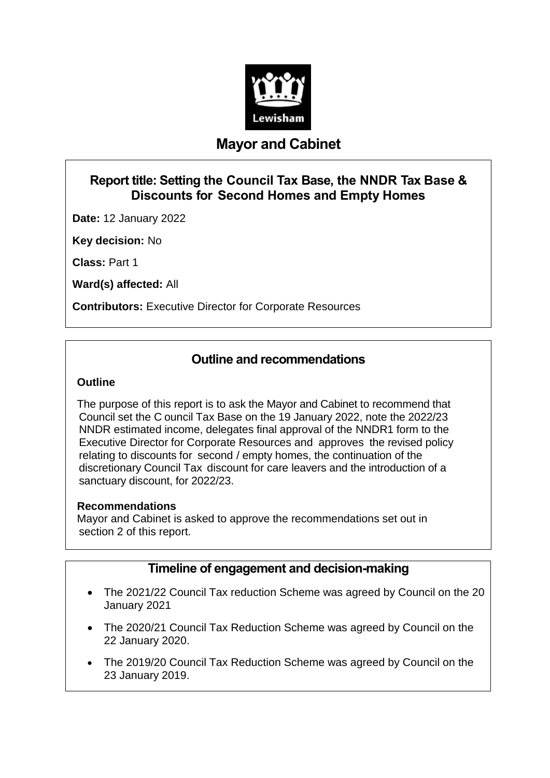

## **Mayor and Cabinet**

## **Report title: Setting the Council Tax Base, the NNDR Tax Base & Discounts for Second Homes and Empty Homes**

**Date:** 12 January 2022

**Key decision:** No

**Class:** Part 1

**Ward(s) affected:** All

**Contributors:** Executive Director for Corporate Resources

### **Outline and recommendations**

#### **Outline**

The purpose of this report is to ask the Mayor and Cabinet to recommend that Council set the C ouncil Tax Base on the 19 January 2022, note the 2022/23 NNDR estimated income, delegates final approval of the NNDR1 form to the Executive Director for Corporate Resources and approves the revised policy relating to discounts for second / empty homes, the continuation of the discretionary Council Tax discount for care leavers and the introduction of a sanctuary discount, for 2022/23.

#### **Recommendations**

Mayor and Cabinet is asked to approve the recommendations set out in section 2 of this report.

### **Timeline of engagement and decision-making**

- The 2021/22 Council Tax reduction Scheme was agreed by Council on the 20 January 2021
- The 2020/21 Council Tax Reduction Scheme was agreed by Council on the 22 January 2020.
- The 2019/20 Council Tax Reduction Scheme was agreed by Council on the 23 January 2019.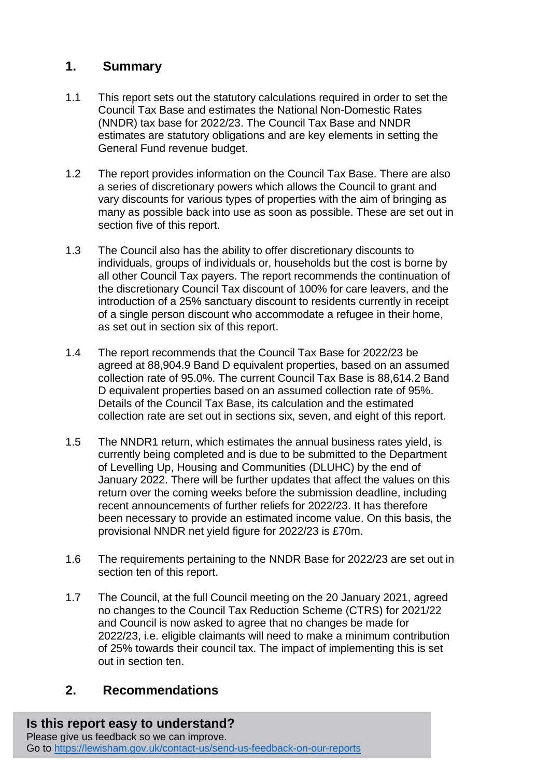## **1. Summary**

- 1.1 This report sets out the statutory calculations required in order to set the Council Tax Base and estimates the National Non-Domestic Rates (NNDR) tax base for 2022/23. The Council Tax Base and NNDR estimates are statutory obligations and are key elements in setting the General Fund revenue budget.
- 1.2 The report provides information on the Council Tax Base. There are also a series of discretionary powers which allows the Council to grant and vary discounts for various types of properties with the aim of bringing as many as possible back into use as soon as possible. These are set out in section five of this report.
- 1.3 The Council also has the ability to offer discretionary discounts to individuals, groups of individuals or, households but the cost is borne by all other Council Tax payers. The report recommends the continuation of the discretionary Council Tax discount of 100% for care leavers, and the introduction of a 25% sanctuary discount to residents currently in receipt of a single person discount who accommodate a refugee in their home, as set out in section six of this report.
- 1.4 The report recommends that the Council Tax Base for 2022/23 be agreed at 88,904.9 Band D equivalent properties, based on an assumed collection rate of 95.0%. The current Council Tax Base is 88,614.2 Band D equivalent properties based on an assumed collection rate of 95%. Details of the Council Tax Base, its calculation and the estimated collection rate are set out in sections six, seven, and eight of this report.
- 1.5 The NNDR1 return, which estimates the annual business rates yield, is currently being completed and is due to be submitted to the Department of Levelling Up, Housing and Communities (DLUHC) by the end of January 2022. There will be further updates that affect the values on this return over the coming weeks before the submission deadline, including recent announcements of further reliefs for 2022/23. It has therefore been necessary to provide an estimated income value. On this basis, the provisional NNDR net yield figure for 2022/23 is £70m.
- 1.6 The requirements pertaining to the NNDR Base for 2022/23 are set out in section ten of this report.
- 1.7 The Council, at the full Council meeting on the 20 January 2021, agreed no changes to the Council Tax Reduction Scheme (CTRS) for 2021/22 and Council is now asked to agree that no changes be made for 2022/23, i.e. eligible claimants will need to make a minimum contribution of 25% towards their council tax. The impact of implementing this is set out in section ten.

## **2. Recommendations**

# **Is this report easy to understand?**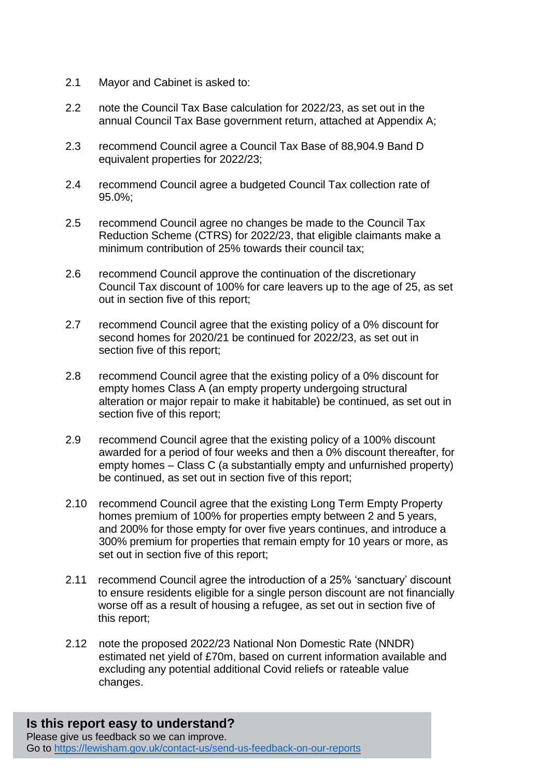- 2.1 Mayor and Cabinet is asked to:
- 2.2 note the Council Tax Base calculation for 2022/23, as set out in the annual Council Tax Base government return, attached at Appendix A;
- 2.3 recommend Council agree a Council Tax Base of 88,904.9 Band D equivalent properties for 2022/23;
- 2.4 recommend Council agree a budgeted Council Tax collection rate of 95.0%;
- 2.5 recommend Council agree no changes be made to the Council Tax Reduction Scheme (CTRS) for 2022/23, that eligible claimants make a minimum contribution of 25% towards their council tax;
- 2.6 recommend Council approve the continuation of the discretionary Council Tax discount of 100% for care leavers up to the age of 25, as set out in section five of this report;
- 2.7 recommend Council agree that the existing policy of a 0% discount for second homes for 2020/21 be continued for 2022/23, as set out in section five of this report;
- 2.8 recommend Council agree that the existing policy of a 0% discount for empty homes Class A (an empty property undergoing structural alteration or major repair to make it habitable) be continued, as set out in section five of this report;
- 2.9 recommend Council agree that the existing policy of a 100% discount awarded for a period of four weeks and then a 0% discount thereafter, for empty homes – Class C (a substantially empty and unfurnished property) be continued, as set out in section five of this report;
- 2.10 recommend Council agree that the existing Long Term Empty Property homes premium of 100% for properties empty between 2 and 5 years, and 200% for those empty for over five years continues, and introduce a 300% premium for properties that remain empty for 10 years or more, as set out in section five of this report;
- 2.11 recommend Council agree the introduction of a 25% 'sanctuary' discount to ensure residents eligible for a single person discount are not financially worse off as a result of housing a refugee, as set out in section five of this report;
- 2.12 note the proposed 2022/23 National Non Domestic Rate (NNDR) estimated net yield of £70m, based on current information available and excluding any potential additional Covid reliefs or rateable value changes.

#### **Is this report easy to understand?** Please give us feedback so we can improve. Go to<https://lewisham.gov.uk/contact-us/send-us-feedback-on-our-reports>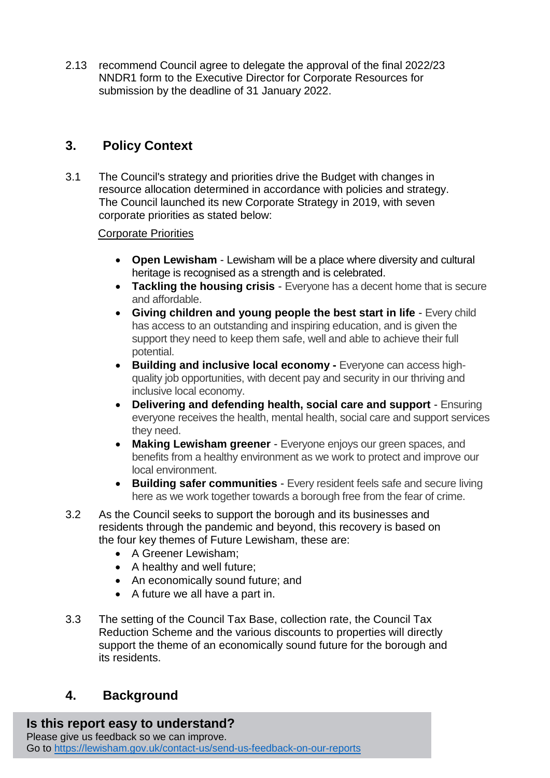2.13 recommend Council agree to delegate the approval of the final 2022/23 NNDR1 form to the Executive Director for Corporate Resources for submission by the deadline of 31 January 2022.

## **3. Policy Context**

3.1 The Council's strategy and priorities drive the Budget with changes in resource allocation determined in accordance with policies and strategy. The Council launched its new Corporate Strategy in 2019, with seven corporate priorities as stated below:

#### Corporate Priorities

- **Open Lewisham** Lewisham will be a place where diversity and cultural heritage is recognised as a strength and is celebrated.
- **Tackling the housing crisis**  Everyone has a decent home that is secure and affordable.
- **Giving children and young people the best start in life Every child** has access to an outstanding and inspiring education, and is given the support they need to keep them safe, well and able to achieve their full potential.
- **Building and inclusive local economy -** Everyone can access highquality job opportunities, with decent pay and security in our thriving and inclusive local economy.
- **Delivering and defending health, social care and support** Ensuring everyone receives the health, mental health, social care and support services they need.
- **Making Lewisham greener**  Everyone enjoys our green spaces, and benefits from a healthy environment as we work to protect and improve our local environment.
- **Building safer communities**  Every resident feels safe and secure living here as we work together towards a borough free from the fear of crime.
- 3.2 As the Council seeks to support the borough and its businesses and residents through the pandemic and beyond, this recovery is based on the four key themes of Future Lewisham, these are:
	- A Greener Lewisham;
	- A healthy and well future;
	- An economically sound future; and
	- A future we all have a part in.
- 3.3 The setting of the Council Tax Base, collection rate, the Council Tax Reduction Scheme and the various discounts to properties will directly support the theme of an economically sound future for the borough and its residents.

## **4. Background**

## **Is this report easy to understand?**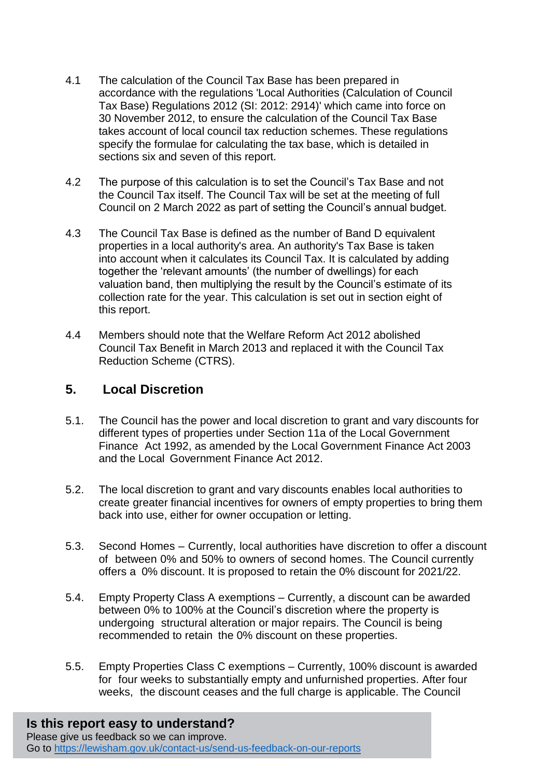- 4.1 The calculation of the Council Tax Base has been prepared in accordance with the regulations 'Local Authorities (Calculation of Council Tax Base) Regulations 2012 (SI: 2012: 2914)' which came into force on 30 November 2012, to ensure the calculation of the Council Tax Base takes account of local council tax reduction schemes. These regulations specify the formulae for calculating the tax base, which is detailed in sections six and seven of this report.
- 4.2 The purpose of this calculation is to set the Council's Tax Base and not the Council Tax itself. The Council Tax will be set at the meeting of full Council on 2 March 2022 as part of setting the Council's annual budget.
- 4.3 The Council Tax Base is defined as the number of Band D equivalent properties in a local authority's area. An authority's Tax Base is taken into account when it calculates its Council Tax. It is calculated by adding together the 'relevant amounts' (the number of dwellings) for each valuation band, then multiplying the result by the Council's estimate of its collection rate for the year. This calculation is set out in section eight of this report.
- 4.4 Members should note that the Welfare Reform Act 2012 abolished Council Tax Benefit in March 2013 and replaced it with the Council Tax Reduction Scheme (CTRS).

### **5. Local Discretion**

- 5.1. The Council has the power and local discretion to grant and vary discounts for different types of properties under Section 11a of the Local Government Finance Act 1992, as amended by the Local Government Finance Act 2003 and the Local Government Finance Act 2012.
- 5.2. The local discretion to grant and vary discounts enables local authorities to create greater financial incentives for owners of empty properties to bring them back into use, either for owner occupation or letting.
- 5.3. Second Homes Currently, local authorities have discretion to offer a discount of between 0% and 50% to owners of second homes. The Council currently offers a 0% discount. It is proposed to retain the 0% discount for 2021/22.
- 5.4. Empty Property Class A exemptions Currently, a discount can be awarded between 0% to 100% at the Council's discretion where the property is undergoing structural alteration or major repairs. The Council is being recommended to retain the 0% discount on these properties.
- 5.5. Empty Properties Class C exemptions Currently, 100% discount is awarded for four weeks to substantially empty and unfurnished properties. After four weeks, the discount ceases and the full charge is applicable. The Council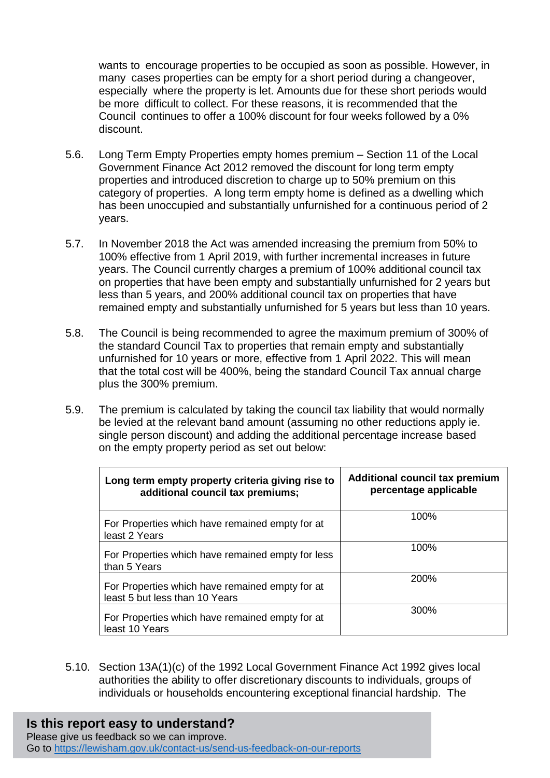wants to encourage properties to be occupied as soon as possible. However, in many cases properties can be empty for a short period during a changeover, especially where the property is let. Amounts due for these short periods would be more difficult to collect. For these reasons, it is recommended that the Council continues to offer a 100% discount for four weeks followed by a 0% discount.

- 5.6. Long Term Empty Properties empty homes premium Section 11 of the Local Government Finance Act 2012 removed the discount for long term empty properties and introduced discretion to charge up to 50% premium on this category of properties. A long term empty home is defined as a dwelling which has been unoccupied and substantially unfurnished for a continuous period of 2 years.
- 5.7. In November 2018 the Act was amended increasing the premium from 50% to 100% effective from 1 April 2019, with further incremental increases in future years. The Council currently charges a premium of 100% additional council tax on properties that have been empty and substantially unfurnished for 2 years but less than 5 years, and 200% additional council tax on properties that have remained empty and substantially unfurnished for 5 years but less than 10 years.
- 5.8. The Council is being recommended to agree the maximum premium of 300% of the standard Council Tax to properties that remain empty and substantially unfurnished for 10 years or more, effective from 1 April 2022. This will mean that the total cost will be 400%, being the standard Council Tax annual charge plus the 300% premium.
- 5.9. The premium is calculated by taking the council tax liability that would normally be levied at the relevant band amount (assuming no other reductions apply ie. single person discount) and adding the additional percentage increase based on the empty property period as set out below:

| Long term empty property criteria giving rise to<br>additional council tax premiums; | <b>Additional council tax premium</b><br>percentage applicable |
|--------------------------------------------------------------------------------------|----------------------------------------------------------------|
| For Properties which have remained empty for at<br>least 2 Years                     | 100%                                                           |
| For Properties which have remained empty for less<br>than 5 Years                    | 100%                                                           |
| For Properties which have remained empty for at<br>least 5 but less than 10 Years    | 200%                                                           |
| For Properties which have remained empty for at<br>least 10 Years                    | 300%                                                           |

5.10. Section 13A(1)(c) of the 1992 Local Government Finance Act 1992 gives local authorities the ability to offer discretionary discounts to individuals, groups of individuals or households encountering exceptional financial hardship. The

# **Is this report easy to understand?**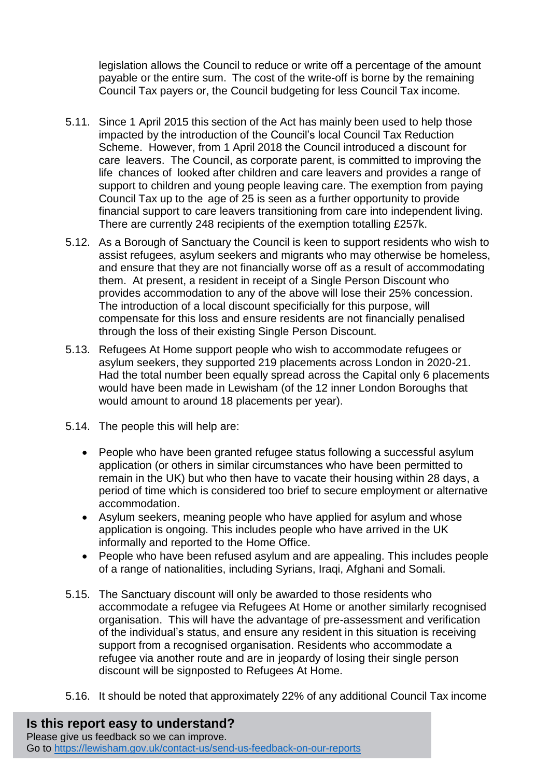legislation allows the Council to reduce or write off a percentage of the amount payable or the entire sum. The cost of the write-off is borne by the remaining Council Tax payers or, the Council budgeting for less Council Tax income.

- 5.11. Since 1 April 2015 this section of the Act has mainly been used to help those impacted by the introduction of the Council's local Council Tax Reduction Scheme. However, from 1 April 2018 the Council introduced a discount for care leavers. The Council, as corporate parent, is committed to improving the life chances of looked after children and care leavers and provides a range of support to children and young people leaving care. The exemption from paying Council Tax up to the age of 25 is seen as a further opportunity to provide financial support to care leavers transitioning from care into independent living. There are currently 248 recipients of the exemption totalling £257k.
- 5.12. As a Borough of Sanctuary the Council is keen to support residents who wish to assist refugees, asylum seekers and migrants who may otherwise be homeless, and ensure that they are not financially worse off as a result of accommodating them. At present, a resident in receipt of a Single Person Discount who provides accommodation to any of the above will lose their 25% concession. The introduction of a local discount specificially for this purpose, will compensate for this loss and ensure residents are not financially penalised through the loss of their existing Single Person Discount.
- 5.13. Refugees At Home support people who wish to accommodate refugees or asylum seekers, they supported 219 placements across London in 2020-21. Had the total number been equally spread across the Capital only 6 placements would have been made in Lewisham (of the 12 inner London Boroughs that would amount to around 18 placements per year).
- 5.14. The people this will help are:
	- People who have been granted refugee status following a successful asylum application (or others in similar circumstances who have been permitted to remain in the UK) but who then have to vacate their housing within 28 days, a period of time which is considered too brief to secure employment or alternative accommodation.
	- Asylum seekers, meaning people who have applied for asylum and whose application is ongoing. This includes people who have arrived in the UK informally and reported to the Home Office.
	- People who have been refused asylum and are appealing. This includes people of a range of nationalities, including Syrians, Iraqi, Afghani and Somali.
- 5.15. The Sanctuary discount will only be awarded to those residents who accommodate a refugee via Refugees At Home or another similarly recognised organisation. This will have the advantage of pre-assessment and verification of the individual's status, and ensure any resident in this situation is receiving support from a recognised organisation. Residents who accommodate a refugee via another route and are in jeopardy of losing their single person discount will be signposted to Refugees At Home.
- 5.16. It should be noted that approximately 22% of any additional Council Tax income

**Is this report easy to understand?** Please give us feedback so we can improve. Go to<https://lewisham.gov.uk/contact-us/send-us-feedback-on-our-reports>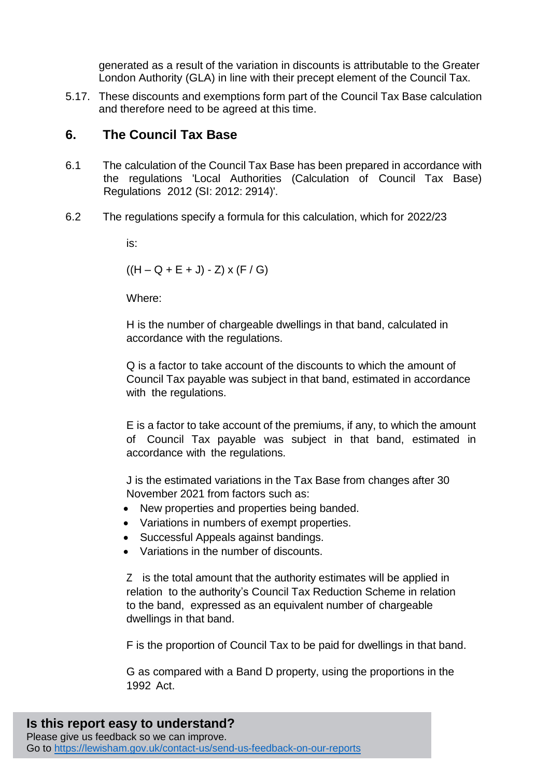generated as a result of the variation in discounts is attributable to the Greater London Authority (GLA) in line with their precept element of the Council Tax.

5.17. These discounts and exemptions form part of the Council Tax Base calculation and therefore need to be agreed at this time.

#### **6. The Council Tax Base**

- 6.1 The calculation of the Council Tax Base has been prepared in accordance with the regulations 'Local Authorities (Calculation of Council Tax Base) Regulations 2012 (SI: 2012: 2914)'.
- 6.2 The regulations specify a formula for this calculation, which for 2022/23

is:

 $((H - Q + E + J) - Z)$  x  $(F / G)$ 

Where:

H is the number of chargeable dwellings in that band, calculated in accordance with the regulations.

Q is a factor to take account of the discounts to which the amount of Council Tax payable was subject in that band, estimated in accordance with the regulations.

E is a factor to take account of the premiums, if any, to which the amount of Council Tax payable was subject in that band, estimated in accordance with the regulations.

J is the estimated variations in the Tax Base from changes after 30 November 2021 from factors such as:

- New properties and properties being banded.
- Variations in numbers of exempt properties.
- Successful Appeals against bandings.
- Variations in the number of discounts.

Z is the total amount that the authority estimates will be applied in relation to the authority's Council Tax Reduction Scheme in relation to the band, expressed as an equivalent number of chargeable dwellings in that band.

F is the proportion of Council Tax to be paid for dwellings in that band.

G as compared with a Band D property, using the proportions in the 1992 Act.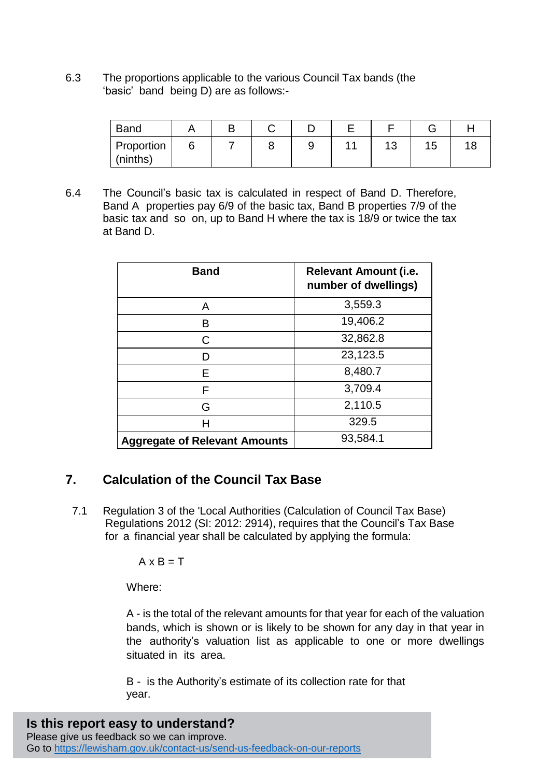6.3 The proportions applicable to the various Council Tax bands (the 'basic' band being D) are as follows:-

| <b>Band</b>                   |  |   |     |     |  |
|-------------------------------|--|---|-----|-----|--|
| <b>Proportion</b><br>(ninths) |  | ັ | ت ' | כ ו |  |

6.4 The Council's basic tax is calculated in respect of Band D. Therefore, Band A properties pay 6/9 of the basic tax, Band B properties 7/9 of the basic tax and so on, up to Band H where the tax is 18/9 or twice the tax at Band D.

| <b>Band</b>                          | <b>Relevant Amount (i.e.</b><br>number of dwellings) |
|--------------------------------------|------------------------------------------------------|
| A                                    | 3,559.3                                              |
| R                                    | 19,406.2                                             |
| C                                    | 32,862.8                                             |
| D                                    | 23,123.5                                             |
| Е                                    | 8,480.7                                              |
| F                                    | 3,709.4                                              |
| G                                    | 2,110.5                                              |
| Н                                    | 329.5                                                |
| <b>Aggregate of Relevant Amounts</b> | 93,584.1                                             |

#### **7. Calculation of the Council Tax Base**

7.1 Regulation 3 of the 'Local Authorities (Calculation of Council Tax Base) Regulations 2012 (SI: 2012: 2914), requires that the Council's Tax Base for a financial year shall be calculated by applying the formula:

 $A \times B = T$ 

Where:

A - is the total of the relevant amounts for that year for each of the valuation bands, which is shown or is likely to be shown for any day in that year in the authority's valuation list as applicable to one or more dwellings situated in its area.

B - is the Authority's estimate of its collection rate for that year.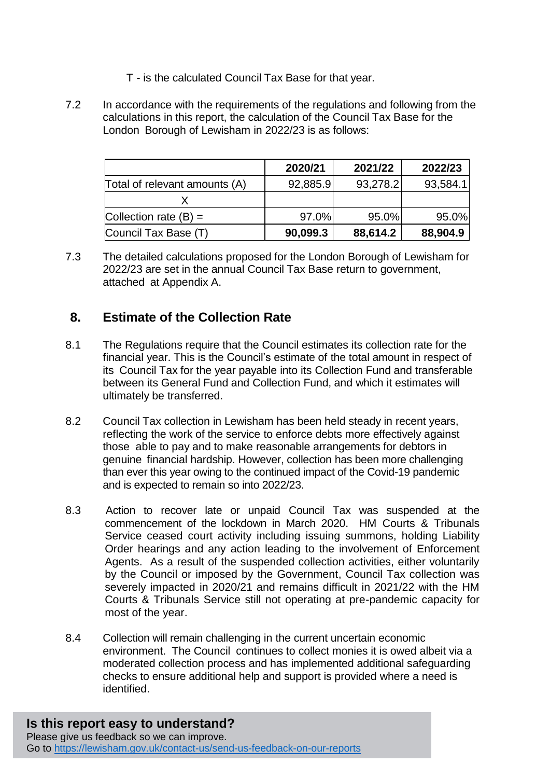- T is the calculated Council Tax Base for that year.
- 7.2 In accordance with the requirements of the regulations and following from the calculations in this report, the calculation of the Council Tax Base for the London Borough of Lewisham in 2022/23 is as follows:

|                               | 2020/21  | 2021/22  | 2022/23  |
|-------------------------------|----------|----------|----------|
| Total of relevant amounts (A) | 92,885.9 | 93,278.2 | 93,584.1 |
|                               |          |          |          |
| Collection rate $(B) =$       | 97.0%    | 95.0%    | 95.0%    |
| Council Tax Base (T)          | 90,099.3 | 88,614.2 | 88,904.9 |

7.3 The detailed calculations proposed for the London Borough of Lewisham for 2022/23 are set in the annual Council Tax Base return to government, attached at Appendix A.

### **8. Estimate of the Collection Rate**

- 8.1 The Regulations require that the Council estimates its collection rate for the financial year. This is the Council's estimate of the total amount in respect of its Council Tax for the year payable into its Collection Fund and transferable between its General Fund and Collection Fund, and which it estimates will ultimately be transferred.
- 8.2 Council Tax collection in Lewisham has been held steady in recent years, reflecting the work of the service to enforce debts more effectively against those able to pay and to make reasonable arrangements for debtors in genuine financial hardship. However, collection has been more challenging than ever this year owing to the continued impact of the Covid-19 pandemic and is expected to remain so into 2022/23.
- 8.3 Action to recover late or unpaid Council Tax was suspended at the commencement of the lockdown in March 2020. HM Courts & Tribunals Service ceased court activity including issuing summons, holding Liability Order hearings and any action leading to the involvement of Enforcement Agents. As a result of the suspended collection activities, either voluntarily by the Council or imposed by the Government, Council Tax collection was severely impacted in 2020/21 and remains difficult in 2021/22 with the HM Courts & Tribunals Service still not operating at pre-pandemic capacity for most of the year.
- 8.4 Collection will remain challenging in the current uncertain economic environment. The Council continues to collect monies it is owed albeit via a moderated collection process and has implemented additional safeguarding checks to ensure additional help and support is provided where a need is identified.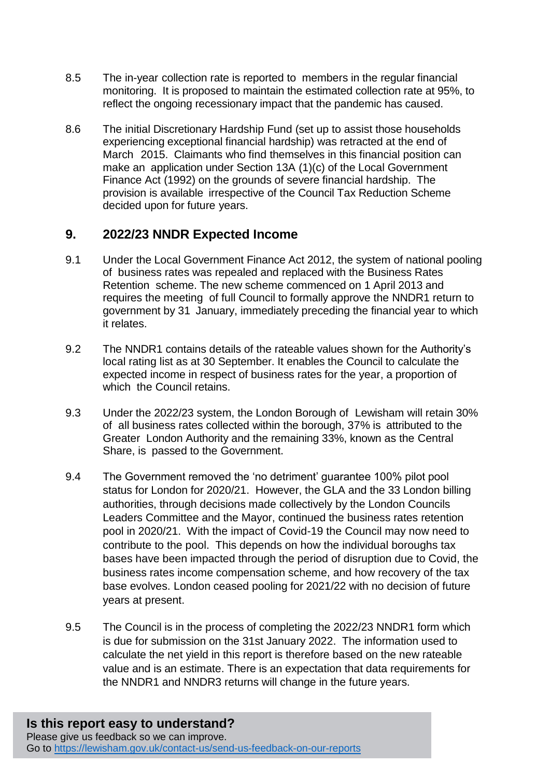- 8.5 The in-year collection rate is reported to members in the regular financial monitoring. It is proposed to maintain the estimated collection rate at 95%, to reflect the ongoing recessionary impact that the pandemic has caused.
- 8.6 The initial Discretionary Hardship Fund (set up to assist those households experiencing exceptional financial hardship) was retracted at the end of March 2015. Claimants who find themselves in this financial position can make an application under Section 13A (1)(c) of the Local Government Finance Act (1992) on the grounds of severe financial hardship. The provision is available irrespective of the Council Tax Reduction Scheme decided upon for future years.

### **9. 2022/23 NNDR Expected Income**

- 9.1 Under the Local Government Finance Act 2012, the system of national pooling of business rates was repealed and replaced with the Business Rates Retention scheme. The new scheme commenced on 1 April 2013 and requires the meeting of full Council to formally approve the NNDR1 return to government by 31 January, immediately preceding the financial year to which it relates.
- 9.2 The NNDR1 contains details of the rateable values shown for the Authority's local rating list as at 30 September. It enables the Council to calculate the expected income in respect of business rates for the year, a proportion of which the Council retains.
- 9.3 Under the 2022/23 system, the London Borough of Lewisham will retain 30% of all business rates collected within the borough, 37% is attributed to the Greater London Authority and the remaining 33%, known as the Central Share, is passed to the Government.
- 9.4 The Government removed the 'no detriment' guarantee 100% pilot pool status for London for 2020/21. However, the GLA and the 33 London billing authorities, through decisions made collectively by the London Councils Leaders Committee and the Mayor, continued the business rates retention pool in 2020/21. With the impact of Covid-19 the Council may now need to contribute to the pool. This depends on how the individual boroughs tax bases have been impacted through the period of disruption due to Covid, the business rates income compensation scheme, and how recovery of the tax base evolves. London ceased pooling for 2021/22 with no decision of future years at present.
- 9.5 The Council is in the process of completing the 2022/23 NNDR1 form which is due for submission on the 31st January 2022. The information used to calculate the net yield in this report is therefore based on the new rateable value and is an estimate. There is an expectation that data requirements for the NNDR1 and NNDR3 returns will change in the future years.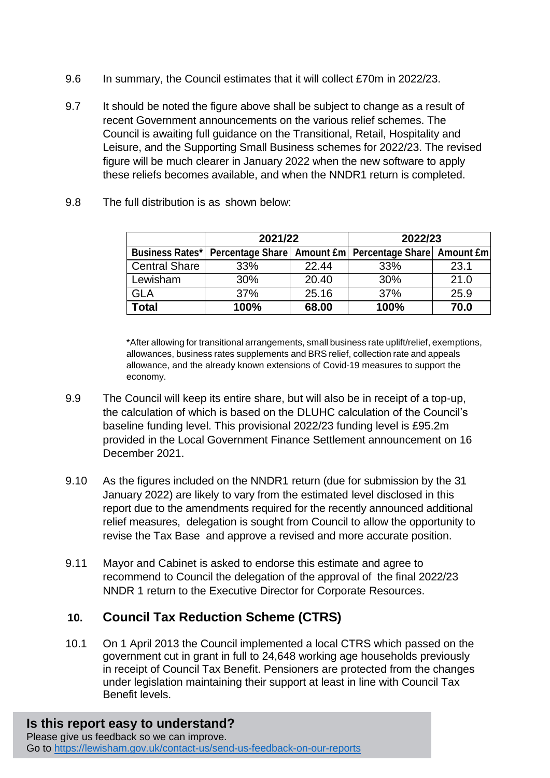- 9.6 In summary, the Council estimates that it will collect £70m in 2022/23.
- 9.7 It should be noted the figure above shall be subject to change as a result of recent Government announcements on the various relief schemes. The Council is awaiting full guidance on the Transitional, Retail, Hospitality and Leisure, and the Supporting Small Business schemes for 2022/23. The revised figure will be much clearer in January 2022 when the new software to apply these reliefs becomes available, and when the NNDR1 return is completed.

|                        | 2021/22 |       | 2022/23                                                     |      |  |  |  |
|------------------------|---------|-------|-------------------------------------------------------------|------|--|--|--|
| <b>Business Rates*</b> |         |       | Percentage Share   Amount £m   Percentage Share   Amount £m |      |  |  |  |
| <b>Central Share</b>   | 33%     | 22.44 | 33%                                                         | 23.1 |  |  |  |
| Lewisham               | 30%     | 20.40 | 30%                                                         | 21.0 |  |  |  |
| GLA                    | 37%     | 25.16 | 37%                                                         | 25.9 |  |  |  |
| Total                  | 100%    | 68.00 | 100%                                                        | 70.0 |  |  |  |

9.8 The full distribution is as shown below:

\*After allowing for transitional arrangements, small business rate uplift/relief, exemptions, allowances, business rates supplements and BRS relief, collection rate and appeals allowance, and the already known extensions of Covid-19 measures to support the economy.

- 9.9 The Council will keep its entire share, but will also be in receipt of a top-up, the calculation of which is based on the DLUHC calculation of the Council's baseline funding level. This provisional 2022/23 funding level is £95.2m provided in the Local Government Finance Settlement announcement on 16 December 2021.
- 9.10 As the figures included on the NNDR1 return (due for submission by the 31 January 2022) are likely to vary from the estimated level disclosed in this report due to the amendments required for the recently announced additional relief measures, delegation is sought from Council to allow the opportunity to revise the Tax Base and approve a revised and more accurate position.
- 9.11 Mayor and Cabinet is asked to endorse this estimate and agree to recommend to Council the delegation of the approval of the final 2022/23 NNDR 1 return to the Executive Director for Corporate Resources.

### **10. Council Tax Reduction Scheme (CTRS)**

10.1 On 1 April 2013 the Council implemented a local CTRS which passed on the government cut in grant in full to 24,648 working age households previously in receipt of Council Tax Benefit. Pensioners are protected from the changes under legislation maintaining their support at least in line with Council Tax Benefit levels.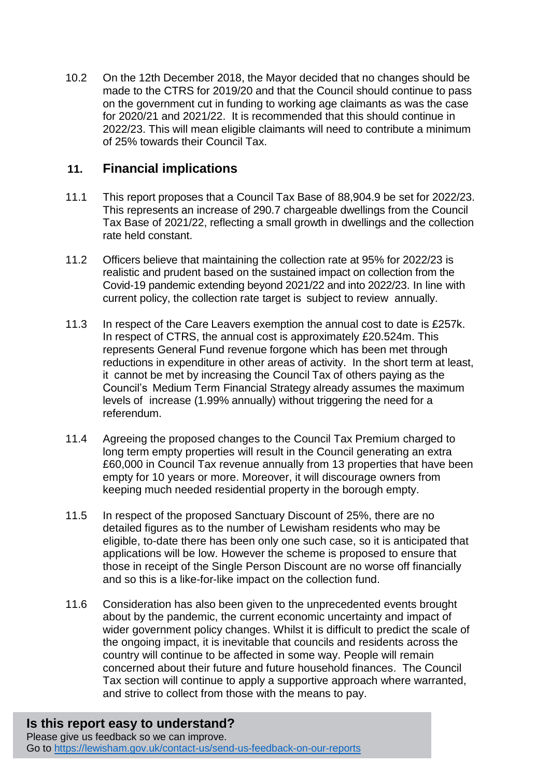10.2 On the 12th December 2018, the Mayor decided that no changes should be made to the CTRS for 2019/20 and that the Council should continue to pass on the government cut in funding to working age claimants as was the case for 2020/21 and 2021/22. It is recommended that this should continue in 2022/23. This will mean eligible claimants will need to contribute a minimum of 25% towards their Council Tax.

#### **11. Financial implications**

- 11.1 This report proposes that a Council Tax Base of 88,904.9 be set for 2022/23. This represents an increase of 290.7 chargeable dwellings from the Council Tax Base of 2021/22, reflecting a small growth in dwellings and the collection rate held constant.
- 11.2 Officers believe that maintaining the collection rate at 95% for 2022/23 is realistic and prudent based on the sustained impact on collection from the Covid-19 pandemic extending beyond 2021/22 and into 2022/23. In line with current policy, the collection rate target is subject to review annually.
- 11.3 In respect of the Care Leavers exemption the annual cost to date is £257k. In respect of CTRS, the annual cost is approximately £20.524m. This represents General Fund revenue forgone which has been met through reductions in expenditure in other areas of activity. In the short term at least, it cannot be met by increasing the Council Tax of others paying as the Council's Medium Term Financial Strategy already assumes the maximum levels of increase (1.99% annually) without triggering the need for a referendum.
- 11.4 Agreeing the proposed changes to the Council Tax Premium charged to long term empty properties will result in the Council generating an extra £60,000 in Council Tax revenue annually from 13 properties that have been empty for 10 years or more. Moreover, it will discourage owners from keeping much needed residential property in the borough empty.
- 11.5 In respect of the proposed Sanctuary Discount of 25%, there are no detailed figures as to the number of Lewisham residents who may be eligible, to-date there has been only one such case, so it is anticipated that applications will be low. However the scheme is proposed to ensure that those in receipt of the Single Person Discount are no worse off financially and so this is a like-for-like impact on the collection fund.
- 11.6 Consideration has also been given to the unprecedented events brought about by the pandemic, the current economic uncertainty and impact of wider government policy changes. Whilst it is difficult to predict the scale of the ongoing impact, it is inevitable that councils and residents across the country will continue to be affected in some way. People will remain concerned about their future and future household finances. The Council Tax section will continue to apply a supportive approach where warranted, and strive to collect from those with the means to pay.

# **Is this report easy to understand?**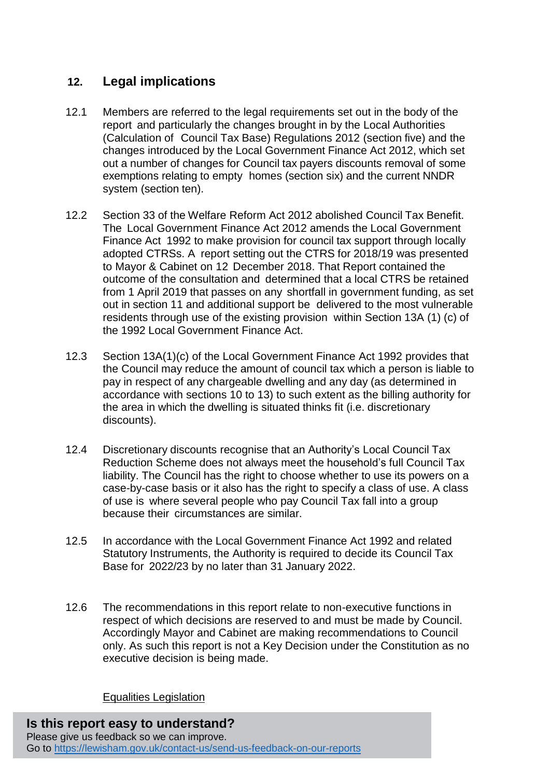## **12. Legal implications**

- 12.1 Members are referred to the legal requirements set out in the body of the report and particularly the changes brought in by the Local Authorities (Calculation of Council Tax Base) Regulations 2012 (section five) and the changes introduced by the Local Government Finance Act 2012, which set out a number of changes for Council tax payers discounts removal of some exemptions relating to empty homes (section six) and the current NNDR system (section ten).
- 12.2 Section 33 of the Welfare Reform Act 2012 abolished Council Tax Benefit. The Local Government Finance Act 2012 amends the Local Government Finance Act 1992 to make provision for council tax support through locally adopted CTRSs. A report setting out the CTRS for 2018/19 was presented to Mayor & Cabinet on 12 December 2018. That Report contained the outcome of the consultation and determined that a local CTRS be retained from 1 April 2019 that passes on any shortfall in government funding, as set out in section 11 and additional support be delivered to the most vulnerable residents through use of the existing provision within Section 13A (1) (c) of the 1992 Local Government Finance Act.
- 12.3 Section 13A(1)(c) of the Local Government Finance Act 1992 provides that the Council may reduce the amount of council tax which a person is liable to pay in respect of any chargeable dwelling and any day (as determined in accordance with sections 10 to 13) to such extent as the billing authority for the area in which the dwelling is situated thinks fit (i.e. discretionary discounts).
- 12.4 Discretionary discounts recognise that an Authority's Local Council Tax Reduction Scheme does not always meet the household's full Council Tax liability. The Council has the right to choose whether to use its powers on a case-by-case basis or it also has the right to specify a class of use. A class of use is where several people who pay Council Tax fall into a group because their circumstances are similar.
- 12.5 In accordance with the Local Government Finance Act 1992 and related Statutory Instruments, the Authority is required to decide its Council Tax Base for 2022/23 by no later than 31 January 2022.
- 12.6 The recommendations in this report relate to non-executive functions in respect of which decisions are reserved to and must be made by Council. Accordingly Mayor and Cabinet are making recommendations to Council only. As such this report is not a Key Decision under the Constitution as no executive decision is being made.

Equalities Legislation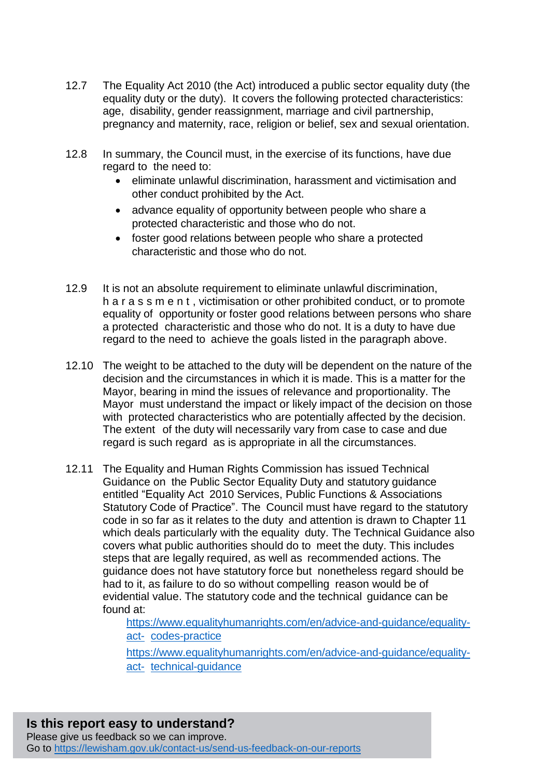- 12.7 The Equality Act 2010 (the Act) introduced a public sector equality duty (the equality duty or the duty). It covers the following protected characteristics: age, disability, gender reassignment, marriage and civil partnership, pregnancy and maternity, race, religion or belief, sex and sexual orientation.
- 12.8 In summary, the Council must, in the exercise of its functions, have due regard to the need to:
	- eliminate unlawful discrimination, harassment and victimisation and other conduct prohibited by the Act.
	- advance equality of opportunity between people who share a protected characteristic and those who do not.
	- foster good relations between people who share a protected characteristic and those who do not.
- 12.9 It is not an absolute requirement to eliminate unlawful discrimination, h a r a s s m e n t , victimisation or other prohibited conduct, or to promote equality of opportunity or foster good relations between persons who share a protected characteristic and those who do not. It is a duty to have due regard to the need to achieve the goals listed in the paragraph above.
- 12.10 The weight to be attached to the duty will be dependent on the nature of the decision and the circumstances in which it is made. This is a matter for the Mayor, bearing in mind the issues of relevance and proportionality. The Mayor must understand the impact or likely impact of the decision on those with protected characteristics who are potentially affected by the decision. The extent of the duty will necessarily vary from case to case and due regard is such regard as is appropriate in all the circumstances.
- 12.11 The Equality and Human Rights Commission has issued Technical Guidance on the Public Sector Equality Duty and statutory guidance entitled "Equality Act 2010 Services, Public Functions & Associations Statutory Code of Practice". The Council must have regard to the statutory code in so far as it relates to the duty and attention is drawn to Chapter 11 which deals particularly with the equality duty. The Technical Guidance also covers what public authorities should do to meet the duty. This includes steps that are legally required, as well as recommended actions. The guidance does not have statutory force but nonetheless regard should be had to it, as failure to do so without compelling reason would be of evidential value. The statutory code and the technical guidance can be found at:

[https://www.equalityhumanrights.com/en/advice-and-guidance/equality](https://www.equalityhumanrights.com/en/advice-and-guidance/equality-act-codes-practice)[act-](https://www.equalityhumanrights.com/en/advice-and-guidance/equality-act-codes-practice) [codes-practice](https://www.equalityhumanrights.com/en/advice-and-guidance/equality-act-codes-practice)

[https://www.equalityhumanrights.com/en/advice-and-guidance/equality](https://www.equalityhumanrights.com/en/advice-and-guidance/equality-act-technical-guidance)[act-](https://www.equalityhumanrights.com/en/advice-and-guidance/equality-act-technical-guidance) [technical-guidance](https://www.equalityhumanrights.com/en/advice-and-guidance/equality-act-technical-guidance)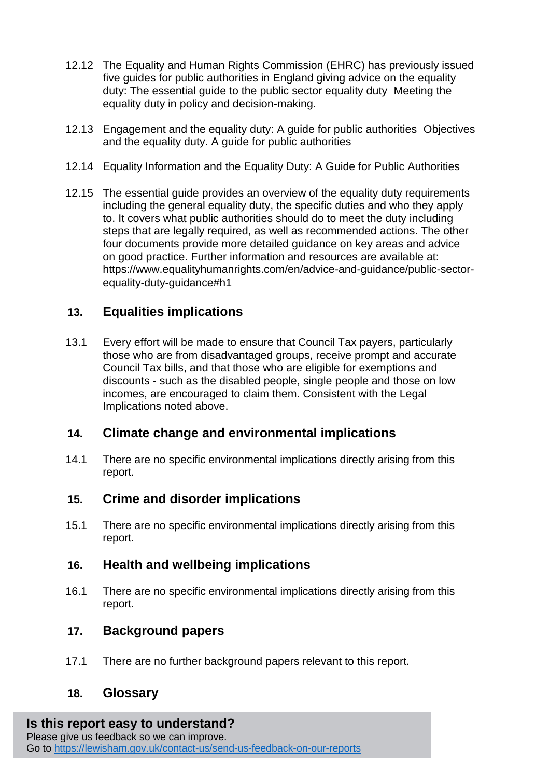- 12.12 The Equality and Human Rights Commission (EHRC) has previously issued five guides for public authorities in England giving advice on the equality duty: [The essential guide to the public sector equality duty](https://www.equalityhumanrights.com/en/node/691) [Meeting the](https://www.equalityhumanrights.com/en/node/562)  [equality duty in policy and decision-making.](https://www.equalityhumanrights.com/en/node/562)
- 12.13 [Engagement and the equality duty: A guide for public authorities](https://www.equalityhumanrights.com/en/node/820) [Objectives](https://www.equalityhumanrights.com/en/node/1461)  [and the equality duty. A guide for public authorities](https://www.equalityhumanrights.com/en/node/1461)
- 12.14 [Equality Information and the Equality Duty: A Guide for Public Authorities](https://www.equalityhumanrights.com/en/node/838)
- 12.15 The essential guide provides an overview of the equality duty requirements including the general equality duty, the specific duties and who they apply to. It covers what public authorities should do to meet the duty including steps that are legally required, as well as recommended actions. The other four documents provide more detailed guidance on key areas and advice on good practice. Further information and resources are available at: [https://www.equalityhumanrights.com/en/advice-and-guidance/public-sector](https://www.equalityhumanrights.com/en/advice-and-guidance/public-sector-equality-duty-guidance#h1)[equality-duty-guidance#h1](https://www.equalityhumanrights.com/en/advice-and-guidance/public-sector-equality-duty-guidance#h1)

### **13. Equalities implications**

13.1 Every effort will be made to ensure that Council Tax payers, particularly those who are from disadvantaged groups, receive prompt and accurate Council Tax bills, and that those who are eligible for exemptions and discounts - such as the disabled people, single people and those on low incomes, are encouraged to claim them. Consistent with the Legal Implications noted above.

#### **14. Climate change and environmental implications**

14.1 There are no specific environmental implications directly arising from this report.

#### **15. Crime and disorder implications**

15.1 There are no specific environmental implications directly arising from this report.

#### **16. Health and wellbeing implications**

16.1 There are no specific environmental implications directly arising from this report.

#### **17. Background papers**

17.1 There are no further background papers relevant to this report.

#### **18. Glossary**

## **Is this report easy to understand?**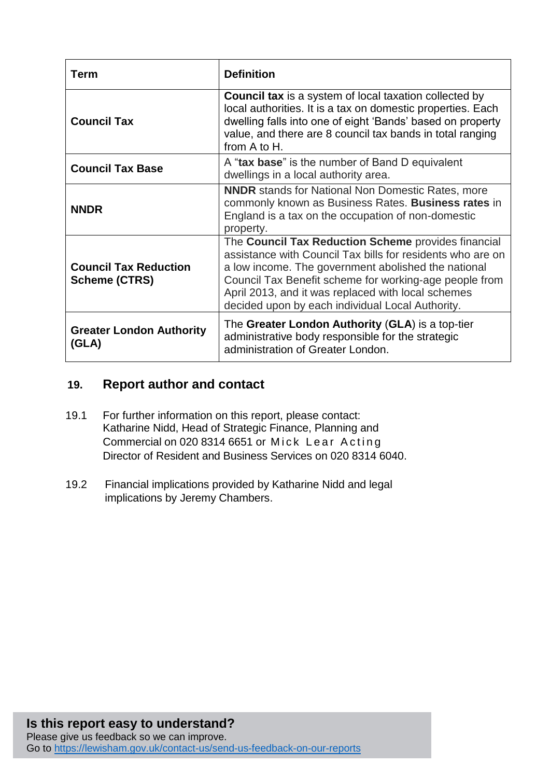| Term                                                 | <b>Definition</b>                                                                                                                                                                                                                                                                                                                            |
|------------------------------------------------------|----------------------------------------------------------------------------------------------------------------------------------------------------------------------------------------------------------------------------------------------------------------------------------------------------------------------------------------------|
| <b>Council Tax</b>                                   | <b>Council tax</b> is a system of local taxation collected by<br>local authorities. It is a tax on domestic properties. Each<br>dwelling falls into one of eight 'Bands' based on property<br>value, and there are 8 council tax bands in total ranging<br>from A to H.                                                                      |
| <b>Council Tax Base</b>                              | A "tax base" is the number of Band D equivalent<br>dwellings in a local authority area.                                                                                                                                                                                                                                                      |
| <b>NNDR</b>                                          | <b>NNDR</b> stands for National Non Domestic Rates, more<br>commonly known as Business Rates. Business rates in<br>England is a tax on the occupation of non-domestic<br>property.                                                                                                                                                           |
| <b>Council Tax Reduction</b><br><b>Scheme (CTRS)</b> | The Council Tax Reduction Scheme provides financial<br>assistance with Council Tax bills for residents who are on<br>a low income. The government abolished the national<br>Council Tax Benefit scheme for working-age people from<br>April 2013, and it was replaced with local schemes<br>decided upon by each individual Local Authority. |
| <b>Greater London Authority</b><br>(GLA)             | The Greater London Authority (GLA) is a top-tier<br>administrative body responsible for the strategic<br>administration of Greater London.                                                                                                                                                                                                   |

### **19. Report author and contact**

- 19.1 For further information on this report, please contact: Katharine Nidd, Head of Strategic Finance, Planning and Commercial on 020 8314 6651 or Mick Lear Acting Director of Resident and Business Services on 020 8314 6040.
- 19.2 Financial implications provided by Katharine Nidd and legal implications by Jeremy Chambers.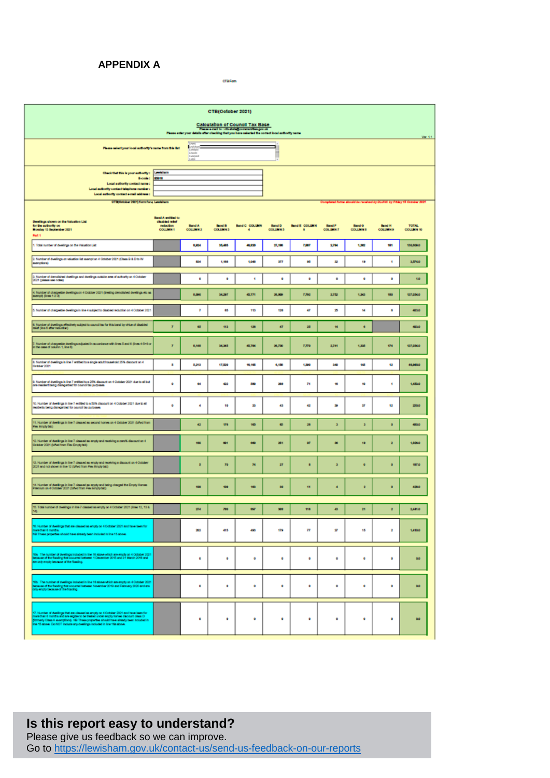#### **APPENDIX A**

CTB Form

| CTB(October 2021)<br><b>Calculation of Council Tax Base</b><br>Finance e-mail to : classistageommenties.gov.uk<br>Finance enter your details after checking that you have selected the correct local authority name.                                                                                          |                               |                                  |                                  |                     |                                 |                            |                                  |                                                                       |                                  |                                   |
|---------------------------------------------------------------------------------------------------------------------------------------------------------------------------------------------------------------------------------------------------------------------------------------------------------------|-------------------------------|----------------------------------|----------------------------------|---------------------|---------------------------------|----------------------------|----------------------------------|-----------------------------------------------------------------------|----------------------------------|-----------------------------------|
| <b>Electric Communication of the Communication of the Communication of the Communication</b><br><b>Revistor</b><br>Please select your local authority's name from this list<br>Lincoln<br>Livingson<br>Luter                                                                                                  |                               |                                  |                                  |                     | ∍                               |                            |                                  |                                                                       |                                  | Var. 1.1                          |
| Check that this is your authority: Lewislam<br>Ecode:<br>Local authority contact name:<br>Local subjectly contact telephone number :<br>Local authority contact e-mail address :                                                                                                                              | 85018                         |                                  |                                  |                     |                                 |                            |                                  |                                                                       |                                  |                                   |
| CTROdober 2021) form for a Lewisham<br>Band A critical to<br>Deelings shown on the Valuation List<br>disabled refer                                                                                                                                                                                           |                               |                                  |                                  |                     |                                 |                            |                                  | Completed forms aboutd be received by DLUVC by Friday 18 October 2021 |                                  |                                   |
| for the authority on<br>Monday 13 September 2021<br>Part 1                                                                                                                                                                                                                                                    | reduction<br><b>COLLEGN 1</b> | <b>Band A</b><br><b>COLUMN 2</b> | <b>Band B</b><br><b>COLUMN 3</b> | Band C. COLUMN<br>٠ | <b>Band D</b><br><b>COLUMNS</b> | <b>Band E COLLERN</b><br>٠ | <b>Band F</b><br><b>COLUMN 7</b> | Band G<br><b>COLLEN #</b>                                             | <b>Bend H</b><br><b>COLLIMNS</b> | <b>TOTAL</b><br><b>COLLEGN 10</b> |
| 1. Total number of dwellings on the Valuation List                                                                                                                                                                                                                                                            |                               | 1,824                            | 35,465                           | 46,950              | 27,198                          | 7,887                      | 2,786                            | 1,382                                                                 | m                                | 130,000.0                         |
| 2. Number of dwellings on velastion list exempt on 4 Cobber 2021 (Class B & D to W<br>exemptions)                                                                                                                                                                                                             |                               | <b>RM</b>                        | 1,988                            | 1,042               | arr                             | ×                          | 耸                                | 19                                                                    | ٠                                | 3,574.0                           |
| 3. Number of demolished dwellings and dwellings autside area of authority on 4 October 2021 (please see notes)                                                                                                                                                                                                |                               | ¢                                | ٠                                | ٠                   | ø                               | ۰                          | ٠                                | ¢                                                                     | ó                                | 1.0                               |
| 4. Number of chargestie-dwellings on 4 October 2021 (treating demolished dwellings etc.as<br>everage dines 1-2-3)                                                                                                                                                                                             |                               | 8,000                            | 54,297                           | 45,771              | 20,000                          | 7,792                      | 2752                             | 1,363                                                                 | 190                              | 127,034.0                         |
| 5. Number of chargestie deelings in line 4 subject to disabled reduction on 4 October 2021                                                                                                                                                                                                                    |                               | Ŧ                                | 65                               | m                   | 128                             | Đ                          | 洒                                | Ħ                                                                     | ۰                                | 421.0                             |
| 5. Number of duelings effectively subject to council tax for this band by virtue of disabled relation technique                                                                                                                                                                                               | ×                             | 45                               | <b>Sta</b>                       | 136                 | <b>AT</b>                       | 器                          | 14                               | ٠                                                                     |                                  | 423.0                             |
| 7. Number of chargestie dealings adjusted in accordance with lines 5 and 6 (insel 4 6+6 or in the case of column 1, line 6)                                                                                                                                                                                   | ×                             | 8,148                            | 54,545                           | 45,794              | 28,730                          | <b>T.TTO</b>               | 2,741                            | 1,335                                                                 | 174                              | 127,034.0                         |
| It Number of dustings in line 7 ertified to a single adult household 25% decount on 4<br>October 2021                                                                                                                                                                                                         | ٠                             | 5,213                            | 17,520                           | 15,185              | 6,150                           | 1,390                      | 340                              | 145                                                                   | 12                               | 48,949.0                          |
| 9. Number of dwellings in line 7 estitled to a 20% discount on 4 October 2021 due to all but<br>one resident being disregarded for council tax purposes                                                                                                                                                       | ¢.                            | <b>bt</b>                        | 42                               | 580                 | 202                             | Ħ                          | Ħ                                | 10                                                                    | ٠                                | 1,455.0                           |
| 10. Number of dwellings in line 7 entitled to a 50% discount on 4 October 2021 due to all<br>residents being disnegarded for council be purposes                                                                                                                                                              | ۰                             | $\overline{\phantom{a}}$         | 18                               | 劸                   | 43                              | 磁                          | ÷                                | 2r                                                                    | 蟷                                | 220.0                             |
| 11. Number of dwellings in line 7 classed as second homes on 4 October 2021 (bankd from<br>Flex Empty teb)                                                                                                                                                                                                    |                               | 42                               | $\sigma$                         | 185                 | ٠                               | 28                         | ٠                                | a                                                                     | ۰                                | 480.0                             |
| 12. Number of dwellings in line 7 classed as empty and receiving a zerof& discount on 4<br>October 2021 (talket from File: Empty tet)                                                                                                                                                                         |                               | 188                              | <b>MAY</b>                       | 680                 | 251                             | 分                          | 加                                | 19                                                                    | ż                                | 1,836.0                           |
| 13. Number of dwellings in line 7 classed as empty and receiving a discount on 4 October<br>2021 and not shown in line 12 (talled from Fiex Empty tab)                                                                                                                                                        |                               | в                                | m                                | м                   | 2P                              | ٠                          | ä                                | $\bullet$                                                             | $\bullet$                        | <b>HITS</b>                       |
| 14. Number of deelings in line 7 classed as engly and being charged the Empty Homes.<br>Premium on 4 Cotabar 2021 (bifwd from Fiex Empty tab)                                                                                                                                                                 |                               | 109                              | 109                              | <b>TES</b>          | 30                              | $^{11}$                    | ٠                                | ×                                                                     | ۰                                | 428.0                             |
| 15. Total number of dwellings in line 7 classed as empty on 4 October 2021 (lines 12, 13 &<br>80.                                                                                                                                                                                                             |                               | 274                              | 769                              | <b>BSF</b>          | 301                             | 118                        | $\bullet$                        | 21                                                                    | ÷                                | 2,641.0                           |
| 9. Number of dwellings that are classed as empty on 4 October 2021 and have been for<br>rowthan 6 months.<br>(ii) These properties should have already been included in line 15 above.                                                                                                                        |                               | 302                              | 415                              | 490                 | 179                             | $\mathbf{r}$               | 霏                                | 15                                                                    | ż                                | 1,410.0                           |
| the The number of develops included in line 10 stone which are empty on 4 October 2021<br>because of the fooding that countried selected is December 2015 and 21 March 2016 and<br>are only empty because of the flooding                                                                                     |                               | ¢                                | ٠                                | ¢                   | ø                               | ¢                          | ٠                                | ¢                                                                     | ¢                                | 0.0                               |
| 15. The number of dwellings included in line 15 above which are empty on 4 October 2021<br>because of the flooding that commed between November 2019 and February 2020 and are<br>mly empty because of the flooding.                                                                                          |                               | ¢                                | ٠                                | ۰                   | ø                               | ۰                          | ٠                                | ø                                                                     | ó                                | <b>d.D</b>                        |
| 17. Number of clearlings that are cleased as enginy on 4 October 2021 and have been for<br>more than 6 months and are eighter to be treated under empty homes discount cleas ()<br>formerly Clease.A exemptions). Nel These properti<br>ne to show. Do NOT include any dwellings included in line 1tle shows. |                               | ۰                                | ٠                                | ø                   | ۰                               | ۰                          | ٠                                | ø                                                                     | ۰                                | 0.0                               |

#### **Is this report easy to understand?**